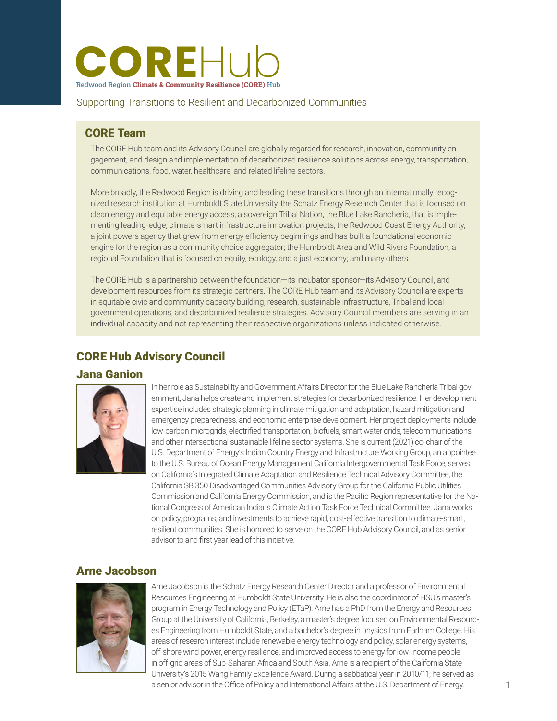

Supporting Transitions to Resilient and Decarbonized Communities

# CORE Team

The CORE Hub team and its Advisory Council are globally regarded for research, innovation, community engagement, and design and implementation of decarbonized resilience solutions across energy, transportation, communications, food, water, healthcare, and related lifeline sectors.

More broadly, the Redwood Region is driving and leading these transitions through an internationally recognized research institution at Humboldt State University, the Schatz Energy Research Center that is focused on clean energy and equitable energy access; a sovereign Tribal Nation, the Blue Lake Rancheria, that is implementing leading-edge, climate-smart infrastructure innovation projects; the Redwood Coast Energy Authority, a joint powers agency that grew from energy efficiency beginnings and has built a foundational economic engine for the region as a community choice aggregator; the Humboldt Area and Wild Rivers Foundation, a regional Foundation that is focused on equity, ecology, and a just economy; and many others.

The CORE Hub is a partnership between the foundation—its incubator sponsor—its Advisory Council, and development resources from its strategic partners. The CORE Hub team and its Advisory Council are experts in equitable civic and community capacity building, research, sustainable infrastructure, Tribal and local government operations, and decarbonized resilience strategies. Advisory Council members are serving in an individual capacity and not representing their respective organizations unless indicated otherwise.

## CORE Hub Advisory Council

#### Jana Ganion



In her role as Sustainability and Government Affairs Director for the Blue Lake Rancheria Tribal government, Jana helps create and implement strategies for decarbonized resilience. Her development expertise includes strategic planning in climate mitigation and adaptation, hazard mitigation and emergency preparedness, and economic enterprise development. Her project deployments include low-carbon microgrids, electrified transportation, biofuels, smart water grids, telecommunications, and other intersectional sustainable lifeline sector systems. She is current (2021) co-chair of the U.S. Department of Energy's Indian Country Energy and Infrastructure Working Group, an appointee to the U.S. Bureau of Ocean Energy Management California Intergovernmental Task Force, serves on California's Integrated Climate Adaptation and Resilience Technical Advisory Committee, the California SB 350 Disadvantaged Communities Advisory Group for the California Public Utilities Commission and California Energy Commission, and is the Pacific Region representative for the National Congress of American Indians Climate Action Task Force Technical Committee. Jana works on policy, programs, and investments to achieve rapid, cost-effective transition to climate-smart, resilient communities. She is honored to serve on the CORE Hub Advisory Council, and as senior advisor to and first year lead of this initiative.

### Arne Jacobson



Arne Jacobson is the Schatz Energy Research Center Director and a professor of Environmental Resources Engineering at Humboldt State University. He is also the coordinator of HSU's master's program in Energy Technology and Policy (ETaP). Arne has a PhD from the Energy and Resources Group at the University of California, Berkeley, a master's degree focused on Environmental Resources Engineering from Humboldt State, and a bachelor's degree in physics from Earlham College. His areas of research interest include renewable energy technology and policy, solar energy systems, off-shore wind power, energy resilience, and improved access to energy for low-income people in off-grid areas of Sub-Saharan Africa and South Asia. Arne is a recipient of the California State University's 2015 Wang Family Excellence Award. During a sabbatical year in 2010/11, he served as a senior advisor in the Office of Policy and International Affairs at the U.S. Department of Energy.